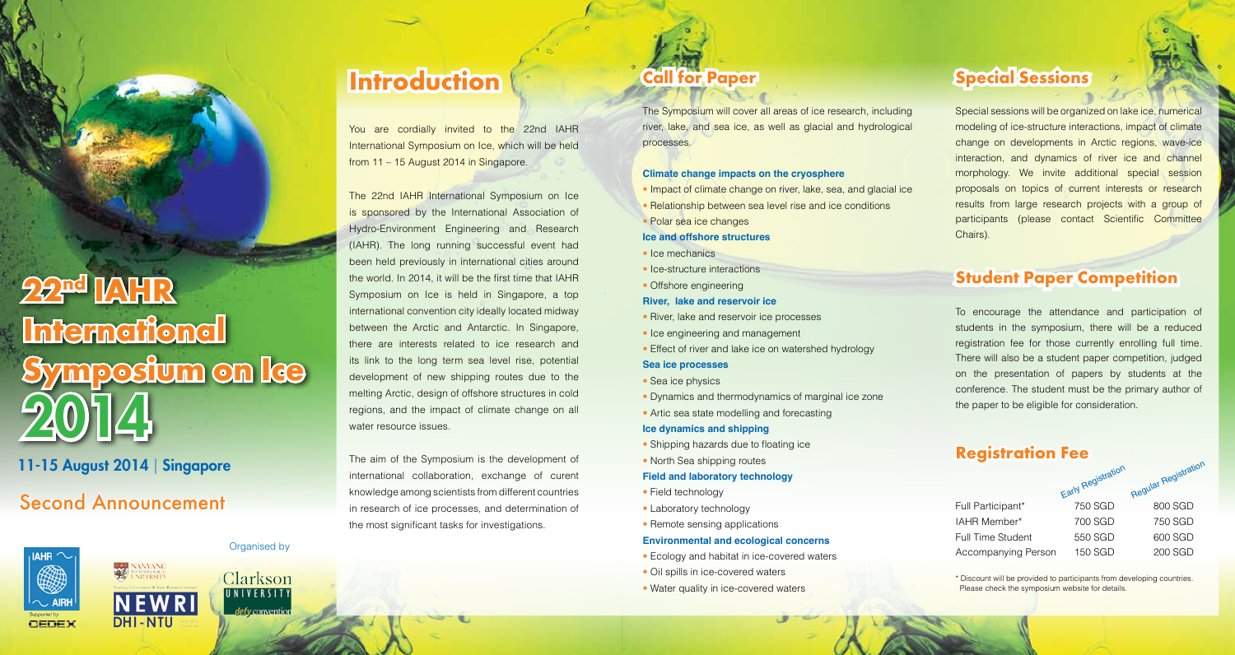# **22nd IAHR International Symposium on Ice** 2014

# 11-15 August 2014 | Singapore

# Second Announcement





## Organised by

Clarkson UNIVERSITY defy conventio

# **Introduction Call for Paper Special Sessions**

You are cordially invited to the 22nd IAHR International Symposium on Ice, which will be held from 11 – 15 August 2014 in Singapore.

The 22nd IAHR International Symposium on Ice is sponsored by the International Association of Hydro-Environment Engineering and Research (IAHR). The long running successful event had been held previously in international cities around the world. In 2014, it will be the first time that IAHR Symposium on Ice is held in Singapore, a top international convention city ideally located midway between the Arctic and Antarctic. In Singapore, there are interests related to ice research and its link to the long term sea level rise, potential development of new shipping routes due to the melting Arctic, design of offshore structures in cold regions, and the impact of climate change on all water resource issues.

The aim of the Symposium is the development of international collaboration, exchange of curent knowledge among scientists from different countries in research of ice processes, and determination of the most significant tasks for investigations.

The Symposium will cover all areas of ice research, including river, lake, and sea ice, as well as glacial and hydrological processes.

### **Climate change impacts on the cryosphere**

- Impact of climate change on river, lake, sea, and glacial ice • Relationship between sea level rise and ice conditions
- Polar sea ice changes
- **Ice and offshore structures**
- Ice mechanics
- Ice-structure interactions
- Offshore engineering

### **River, lake and reservoir ice**

- River, lake and reservoir ice processes
- Ice engineering and management
- Effect of river and lake ice on watershed hydrology

### **Sea ice processes**

- Sea ice physics
- Dynamics and thermodynamics of marginal ice zone
- Artic sea state modelling and forecasting

### **Ice dynamics and shipping**

- Shipping hazards due to floating ice
- North Sea shipping routes
- **Field and laboratory technology**
- Field technology
- Laboratory technology
- Remote sensing applications

### **Environmental and ecological concerns**

- Ecology and habitat in ice-covered waters
- Oil spills in ice-covered waters
- Water quality in ice-covered waters

Special sessions will be organized on lake ice, numerical modeling of ice-structure interactions, impact of climate change on developments in Arctic regions, wave-ice interaction, and dynamics of river ice and channel morphology. We invite additional special session proposals on topics of current interests or research results from large research projects with a group of participants (please contact Scientific Committee Chairs).

# **Student Paper Competition**

To encourage the attendance and participation of students in the symposium, there will be a reduced registration fee for those currently enrolling full time. There will also be a student paper competition, judged on the presentation of papers by students at the conference. The student must be the primary author of the paper to be eligible for consideration.

# **Registration Fee**

|                          | Early Registration | Regular Registration |
|--------------------------|--------------------|----------------------|
| Full Participant*        | 750 SGD            | 800 SGD              |
| IAHR Member*             | 700 SGD            | 750 SGD              |
| <b>Full Time Student</b> | 550 SGD            | 600 SGD              |
| Accompanying Person      | 150 SGD            | 200 SGD              |

\* Discount will be provided to participants from developing countries. Please check the symposium website for details.